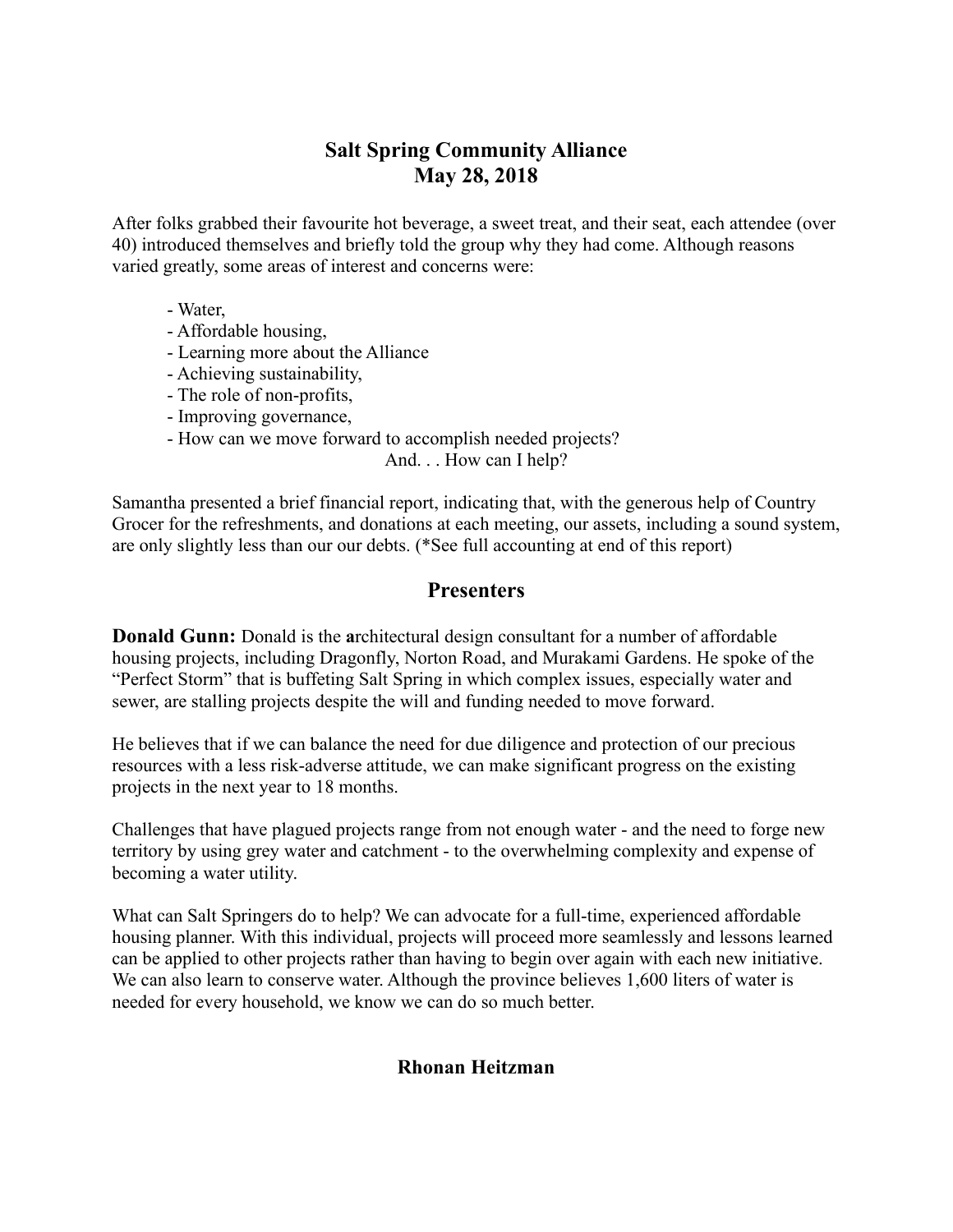# **Salt Spring Community Alliance May 28, 2018**

After folks grabbed their favourite hot beverage, a sweet treat, and their seat, each attendee (over 40) introduced themselves and briefly told the group why they had come. Although reasons varied greatly, some areas of interest and concerns were:

- Water,
- Affordable housing,
- Learning more about the Alliance
- Achieving sustainability,
- The role of non-profits,
- Improving governance,
- How can we move forward to accomplish needed projects?

And. . . How can I help?

Samantha presented a brief financial report, indicating that, with the generous help of Country Grocer for the refreshments, and donations at each meeting, our assets, including a sound system, are only slightly less than our our debts. (\*See full accounting at end of this report)

## **Presenters**

**Donald Gunn:** Donald is the **a**rchitectural design consultant for a number of affordable housing projects, including Dragonfly, Norton Road, and Murakami Gardens. He spoke of the "Perfect Storm" that is buffeting Salt Spring in which complex issues, especially water and sewer, are stalling projects despite the will and funding needed to move forward.

He believes that if we can balance the need for due diligence and protection of our precious resources with a less risk-adverse attitude, we can make significant progress on the existing projects in the next year to 18 months.

Challenges that have plagued projects range from not enough water - and the need to forge new territory by using grey water and catchment - to the overwhelming complexity and expense of becoming a water utility.

What can Salt Springers do to help? We can advocate for a full-time, experienced affordable housing planner. With this individual, projects will proceed more seamlessly and lessons learned can be applied to other projects rather than having to begin over again with each new initiative. We can also learn to conserve water. Although the province believes 1,600 liters of water is needed for every household, we know we can do so much better.

### **Rhonan Heitzman**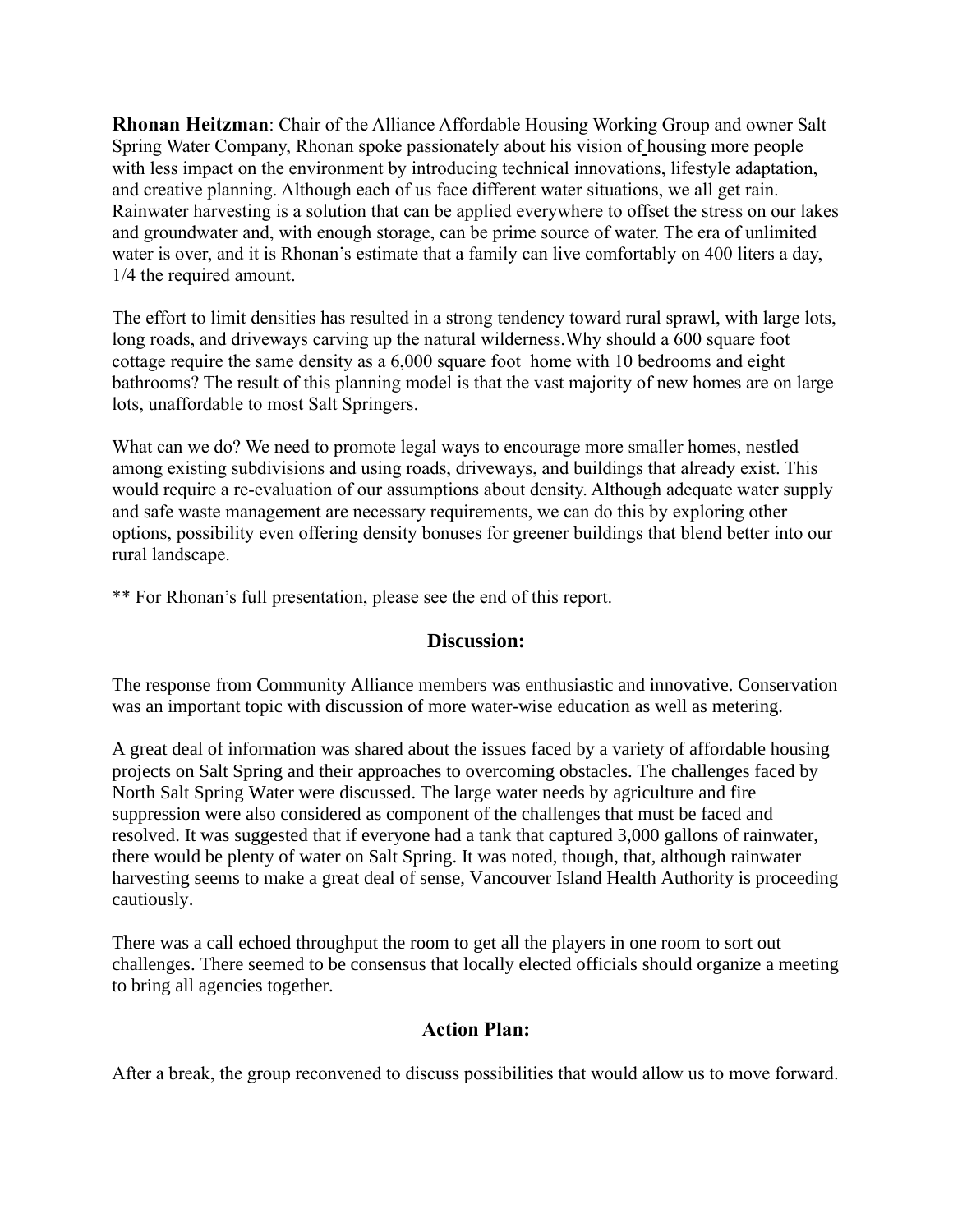**Rhonan Heitzman**: Chair of the Alliance Affordable Housing Working Group and owner Salt Spring Water Company, Rhonan spoke passionately about his vision of housing more people with less impact on the environment by introducing technical innovations, lifestyle adaptation, and creative planning. Although each of us face different water situations, we all get rain. Rainwater harvesting is a solution that can be applied everywhere to offset the stress on our lakes and groundwater and, with enough storage, can be prime source of water. The era of unlimited water is over, and it is Rhonan's estimate that a family can live comfortably on 400 liters a day, 1/4 the required amount.

The effort to limit densities has resulted in a strong tendency toward rural sprawl, with large lots, long roads, and driveways carving up the natural wilderness.Why should a 600 square foot cottage require the same density as a 6,000 square foot home with 10 bedrooms and eight bathrooms? The result of this planning model is that the vast majority of new homes are on large lots, unaffordable to most Salt Springers.

What can we do? We need to promote legal ways to encourage more smaller homes, nestled among existing subdivisions and using roads, driveways, and buildings that already exist. This would require a re-evaluation of our assumptions about density. Although adequate water supply and safe waste management are necessary requirements, we can do this by exploring other options, possibility even offering density bonuses for greener buildings that blend better into our rural landscape.

\*\* For Rhonan's full presentation, please see the end of this report.

### **Discussion:**

The response from Community Alliance members was enthusiastic and innovative. Conservation was an important topic with discussion of more water-wise education as well as metering.

A great deal of information was shared about the issues faced by a variety of affordable housing projects on Salt Spring and their approaches to overcoming obstacles. The challenges faced by North Salt Spring Water were discussed. The large water needs by agriculture and fire suppression were also considered as component of the challenges that must be faced and resolved. It was suggested that if everyone had a tank that captured 3,000 gallons of rainwater, there would be plenty of water on Salt Spring. It was noted, though, that, although rainwater harvesting seems to make a great deal of sense, Vancouver Island Health Authority is proceeding cautiously.

There was a call echoed throughput the room to get all the players in one room to sort out challenges. There seemed to be consensus that locally elected officials should organize a meeting to bring all agencies together.

### **Action Plan:**

After a break, the group reconvened to discuss possibilities that would allow us to move forward.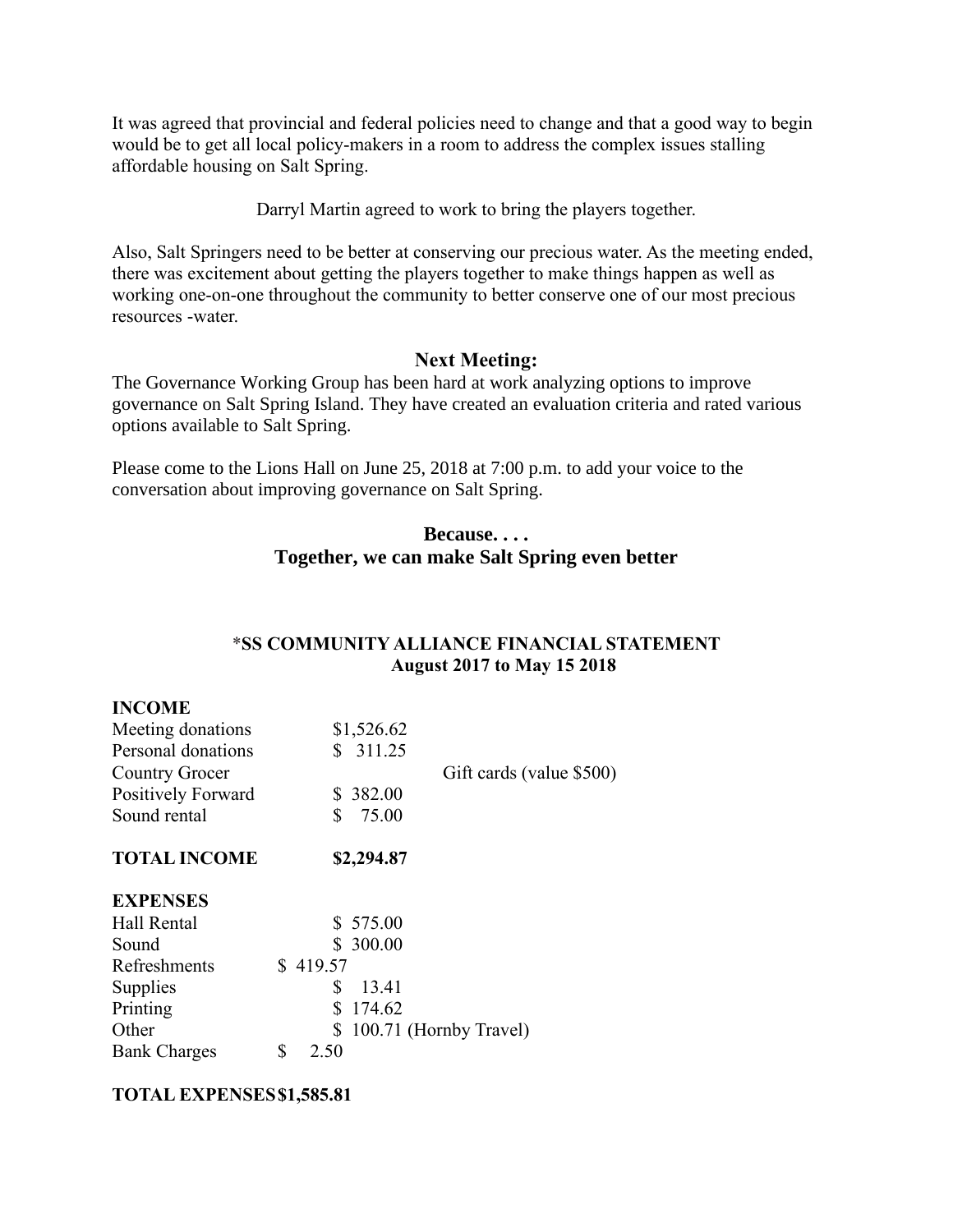It was agreed that provincial and federal policies need to change and that a good way to begin would be to get all local policy-makers in a room to address the complex issues stalling affordable housing on Salt Spring.

Darryl Martin agreed to work to bring the players together.

Also, Salt Springers need to be better at conserving our precious water. As the meeting ended, there was excitement about getting the players together to make things happen as well as working one-on-one throughout the community to better conserve one of our most precious resources -water.

### **Next Meeting:**

The Governance Working Group has been hard at work analyzing options to improve governance on Salt Spring Island. They have created an evaluation criteria and rated various options available to Salt Spring.

Please come to the Lions Hall on June 25, 2018 at 7:00 p.m. to add your voice to the conversation about improving governance on Salt Spring.

### **Because. . . . Together, we can make Salt Spring even better**

### \***SS COMMUNITY ALLIANCE FINANCIAL STATEMENT August 2017 to May 15 2018**

| Meeting donations   | \$1,526.62               |  |
|---------------------|--------------------------|--|
| Personal donations  | \$311.25                 |  |
| Country Grocer      | Gift cards (value \$500) |  |
| Positively Forward  | \$382.00                 |  |
| Sound rental        | \$<br>75.00              |  |
| <b>TOTAL INCOME</b> | \$2,294.87               |  |
| <b>EXPENSES</b>     |                          |  |
| Hall Rental         | \$575.00                 |  |
| Sound               | \$300.00                 |  |
| Refreshments        | \$419.57                 |  |
| Supplies            | S<br>13.41               |  |
| Printing            | \$<br>174.62             |  |
| Other               | \$100.71 (Hornby Travel) |  |
| <b>Bank Charges</b> | \$<br>2.50               |  |
|                     |                          |  |

### **TOTAL EXPENSES\$1,585.81**

**INCOME**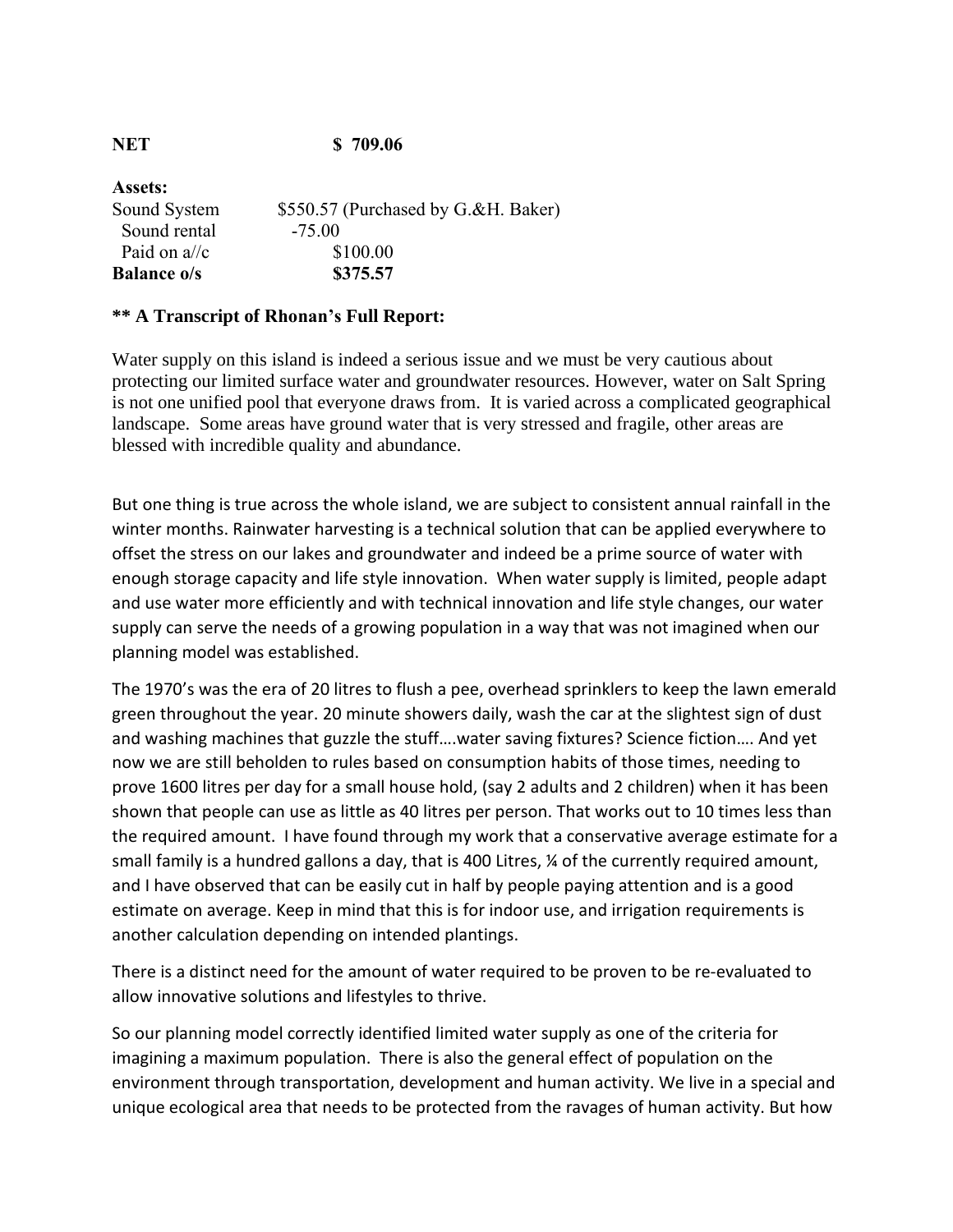| \$550.57 (Purchased by G.&H. Baker) |
|-------------------------------------|
|                                     |
|                                     |
|                                     |
|                                     |

### **\*\* A Transcript of Rhonan's Full Report:**

Water supply on this island is indeed a serious issue and we must be very cautious about protecting our limited surface water and groundwater resources. However, water on Salt Spring is not one unified pool that everyone draws from. It is varied across a complicated geographical landscape. Some areas have ground water that is very stressed and fragile, other areas are blessed with incredible quality and abundance.

But one thing is true across the whole island, we are subject to consistent annual rainfall in the winter months. Rainwater harvesting is a technical solution that can be applied everywhere to offset the stress on our lakes and groundwater and indeed be a prime source of water with enough storage capacity and life style innovation. When water supply is limited, people adapt and use water more efficiently and with technical innovation and life style changes, our water supply can serve the needs of a growing population in a way that was not imagined when our planning model was established.

The 1970's was the era of 20 litres to flush a pee, overhead sprinklers to keep the lawn emerald green throughout the year. 20 minute showers daily, wash the car at the slightest sign of dust and washing machines that guzzle the stuff….water saving fixtures? Science fiction…. And yet now we are still beholden to rules based on consumption habits of those times, needing to prove 1600 litres per day for a small house hold, (say 2 adults and 2 children) when it has been shown that people can use as little as 40 litres per person. That works out to 10 times less than the required amount. I have found through my work that a conservative average estimate for a small family is a hundred gallons a day, that is 400 Litres, % of the currently required amount, and I have observed that can be easily cut in half by people paying attention and is a good estimate on average. Keep in mind that this is for indoor use, and irrigation requirements is another calculation depending on intended plantings.

There is a distinct need for the amount of water required to be proven to be re-evaluated to allow innovative solutions and lifestyles to thrive.

So our planning model correctly identified limited water supply as one of the criteria for imagining a maximum population. There is also the general effect of population on the environment through transportation, development and human activity. We live in a special and unique ecological area that needs to be protected from the ravages of human activity. But how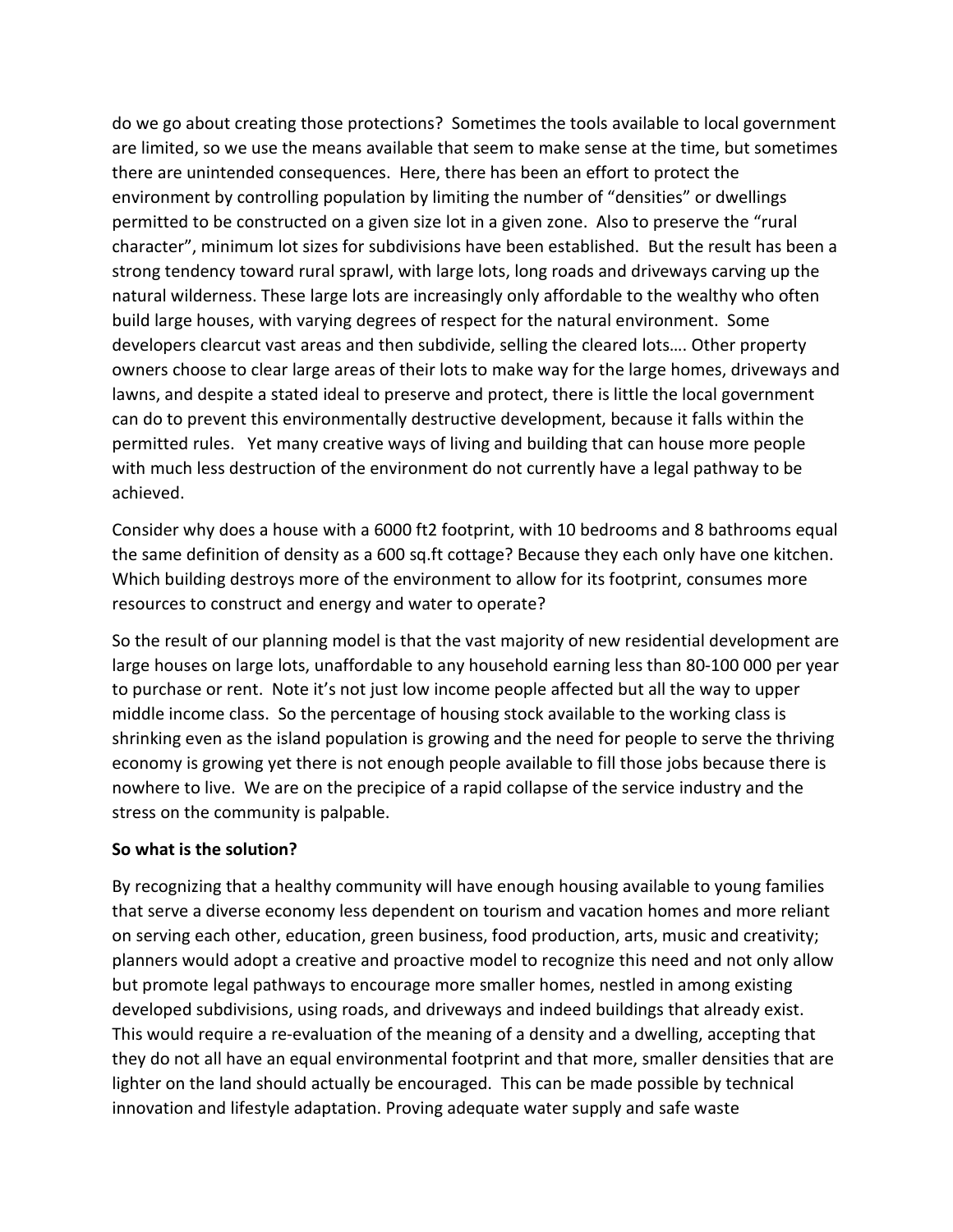do we go about creating those protections? Sometimes the tools available to local government are limited, so we use the means available that seem to make sense at the time, but sometimes there are unintended consequences. Here, there has been an effort to protect the environment by controlling population by limiting the number of "densities" or dwellings permitted to be constructed on a given size lot in a given zone. Also to preserve the "rural character", minimum lot sizes for subdivisions have been established. But the result has been a strong tendency toward rural sprawl, with large lots, long roads and driveways carving up the natural wilderness. These large lots are increasingly only affordable to the wealthy who often build large houses, with varying degrees of respect for the natural environment. Some developers clearcut vast areas and then subdivide, selling the cleared lots…. Other property owners choose to clear large areas of their lots to make way for the large homes, driveways and lawns, and despite a stated ideal to preserve and protect, there is little the local government can do to prevent this environmentally destructive development, because it falls within the permitted rules. Yet many creative ways of living and building that can house more people with much less destruction of the environment do not currently have a legal pathway to be achieved.

Consider why does a house with a 6000 ft2 footprint, with 10 bedrooms and 8 bathrooms equal the same definition of density as a 600 sq.ft cottage? Because they each only have one kitchen. Which building destroys more of the environment to allow for its footprint, consumes more resources to construct and energy and water to operate?

So the result of our planning model is that the vast majority of new residential development are large houses on large lots, unaffordable to any household earning less than 80-100 000 per year to purchase or rent. Note it's not just low income people affected but all the way to upper middle income class. So the percentage of housing stock available to the working class is shrinking even as the island population is growing and the need for people to serve the thriving economy is growing yet there is not enough people available to fill those jobs because there is nowhere to live. We are on the precipice of a rapid collapse of the service industry and the stress on the community is palpable.

#### **So what is the solution?**

By recognizing that a healthy community will have enough housing available to young families that serve a diverse economy less dependent on tourism and vacation homes and more reliant on serving each other, education, green business, food production, arts, music and creativity; planners would adopt a creative and proactive model to recognize this need and not only allow but promote legal pathways to encourage more smaller homes, nestled in among existing developed subdivisions, using roads, and driveways and indeed buildings that already exist. This would require a re-evaluation of the meaning of a density and a dwelling, accepting that they do not all have an equal environmental footprint and that more, smaller densities that are lighter on the land should actually be encouraged. This can be made possible by technical innovation and lifestyle adaptation. Proving adequate water supply and safe waste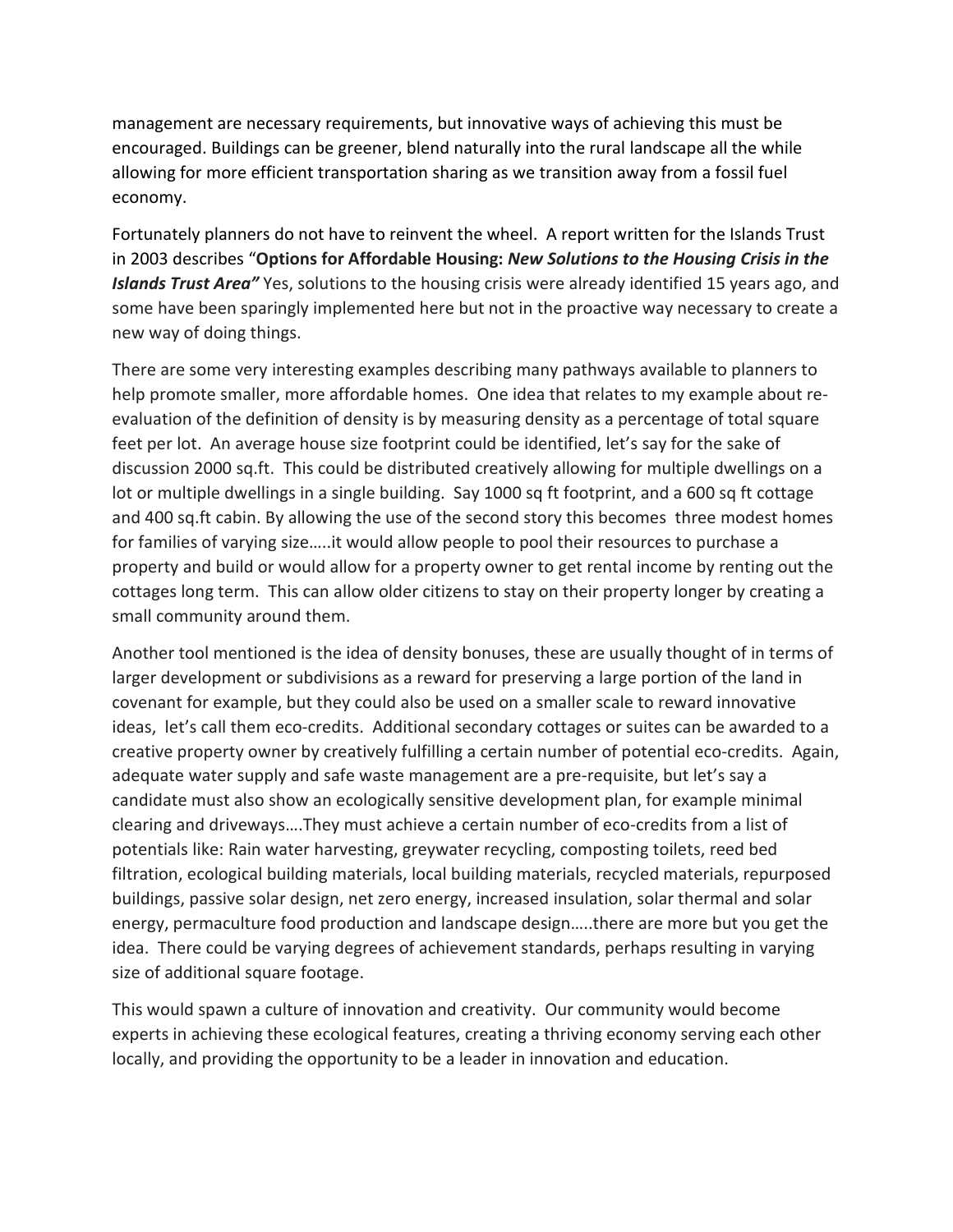management are necessary requirements, but innovative ways of achieving this must be encouraged. Buildings can be greener, blend naturally into the rural landscape all the while allowing for more efficient transportation sharing as we transition away from a fossil fuel economy.

Fortunately planners do not have to reinvent the wheel. A report written for the Islands Trust in 2003 describes "**Options for Affordable Housing:** *New Solutions to the Housing Crisis in the Islands Trust Area"* Yes, solutions to the housing crisis were already identified 15 years ago, and some have been sparingly implemented here but not in the proactive way necessary to create a new way of doing things.

There are some very interesting examples describing many pathways available to planners to help promote smaller, more affordable homes. One idea that relates to my example about reevaluation of the definition of density is by measuring density as a percentage of total square feet per lot. An average house size footprint could be identified, let's say for the sake of discussion 2000 sq.ft. This could be distributed creatively allowing for multiple dwellings on a lot or multiple dwellings in a single building. Say 1000 sq ft footprint, and a 600 sq ft cottage and 400 sq.ft cabin. By allowing the use of the second story this becomes three modest homes for families of varying size…..it would allow people to pool their resources to purchase a property and build or would allow for a property owner to get rental income by renting out the cottages long term. This can allow older citizens to stay on their property longer by creating a small community around them.

Another tool mentioned is the idea of density bonuses, these are usually thought of in terms of larger development or subdivisions as a reward for preserving a large portion of the land in covenant for example, but they could also be used on a smaller scale to reward innovative ideas, let's call them eco-credits. Additional secondary cottages or suites can be awarded to a creative property owner by creatively fulfilling a certain number of potential eco-credits. Again, adequate water supply and safe waste management are a pre-requisite, but let's say a candidate must also show an ecologically sensitive development plan, for example minimal clearing and driveways….They must achieve a certain number of eco-credits from a list of potentials like: Rain water harvesting, greywater recycling, composting toilets, reed bed filtration, ecological building materials, local building materials, recycled materials, repurposed buildings, passive solar design, net zero energy, increased insulation, solar thermal and solar energy, permaculture food production and landscape design…..there are more but you get the idea. There could be varying degrees of achievement standards, perhaps resulting in varying size of additional square footage.

This would spawn a culture of innovation and creativity. Our community would become experts in achieving these ecological features, creating a thriving economy serving each other locally, and providing the opportunity to be a leader in innovation and education.